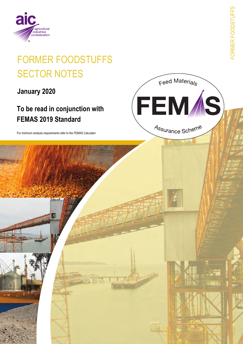

# **FORMER FOODSTUFFS SECTOR NOTES**

January 2020

# To be read in conjunction with **FEMAS 2019 Standard**

For minimum analysis requirements refer to the FEMAS Calculator

-ORMER FOODSTUFFS

Feed Materials

FEM*Í*S)

Assurance Scheme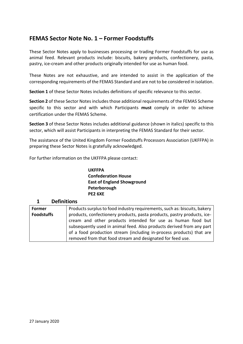## **FEMAS Sector Note No. 1 – Former Foodstuffs**

These Sector Notes apply to businesses processing or trading Former Foodstuffs for use as animal feed. Relevant products include: biscuits, bakery products, confectionery, pasta, pastry, ice-cream and other products originally intended for use as human food.

These Notes are not exhaustive, and are intended to assist in the application of the corresponding requirements of the FEMAS Standard and are not to be considered in isolation.

**Section 1** of these Sector Notes includes definitions of specific relevance to this sector.

**Section 2** of these Sector Notes includes those additional requirements of the FEMAS Scheme specific to this sector and with which Participants **must** comply in order to achieve certification under the FEMAS Scheme.

**Section 3** of these Sector Notes includes additional guidance (shown in italics) specific to this sector, which will assist Participants in interpreting the FEMAS Standard for their sector.

The assistance of the United Kingdom Former Foodstuffs Processors Association (UKFFPA) in preparing these Sector Notes is gratefully acknowledged.

For further information on the UKFFPA please contact:

**UKFFPA Confederation House East of England Showground Peterborough PE2 6XE**

#### **1 Definitions Former Foodstuffs** Products surplus to food industry requirements, such as: biscuits, bakery products, confectionery products, pasta products, pastry products, icecream and other products intended for use as human food but subsequently used in animal feed. Also products derived from any part of a food production stream (including in-process products) that are removed from that food stream and designated for feed use.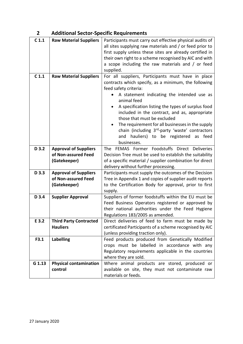# **2 Additional Sector-Specific Requirements**

| C <sub>1.1</sub> | <b>Raw Material Suppliers</b>                                       | Participants must carry out effective physical audits of<br>all sites supplying raw materials and / or feed prior to<br>first supply unless these sites are already certified in<br>their own right to a scheme recognised by AIC and with<br>a scope including the raw materials and / or feed<br>supplied.                                                                                                                                             |
|------------------|---------------------------------------------------------------------|----------------------------------------------------------------------------------------------------------------------------------------------------------------------------------------------------------------------------------------------------------------------------------------------------------------------------------------------------------------------------------------------------------------------------------------------------------|
| C <sub>1.1</sub> | <b>Raw Material Suppliers</b>                                       | For all suppliers, Participants must have in place<br>contracts which specify, as a minimum, the following<br>feed safety criteria:<br>A statement indicating the intended use as<br>animal feed<br>A specification listing the types of surplus food<br>included in the contract, and as, appropriate<br>those that must be excluded<br>The requirement for all businesses in the supply<br>chain (including 3 <sup>rd</sup> -party 'waste' contractors |
|                  |                                                                     | and hauliers) to be registered<br>as feed<br>businesses.                                                                                                                                                                                                                                                                                                                                                                                                 |
| D 3.2            | <b>Approval of Suppliers</b><br>of Non-assured Feed<br>(Gatekeeper) | FEMAS Former Foodstuffs Direct Deliveries<br><b>The</b><br>Decision Tree must be used to establish the suitability<br>of a specific material / supplier combination for direct<br>delivery without further processing.                                                                                                                                                                                                                                   |
| D 3.3            | <b>Approval of Suppliers</b><br>of Non-assured Feed<br>(Gatekeeper) | Participants must supply the outcomes of the Decision<br>Tree in Appendix 1 and copies of supplier audit reports<br>to the Certification Body for approval, prior to first<br>supply.                                                                                                                                                                                                                                                                    |
| D 3.4            | <b>Supplier Approval</b>                                            | Suppliers of former foodstuffs within the EU must be<br>Feed Business Operators registered or approved by<br>their national authorities under the Feed Hygiene<br>Regulations 183/2005 as amended.                                                                                                                                                                                                                                                       |
| E 3.2            | <b>Third Party Contracted</b><br><b>Hauliers</b>                    | Direct deliveries of feed to farm must be made by<br>certificated Participants of a scheme recognised by AIC<br>(unless providing traction only).                                                                                                                                                                                                                                                                                                        |
| F3.1             | <b>Labelling</b>                                                    | Feed products produced from Genetically Modified<br>crops must be labelled in accordance with any<br>Regulatory requirements applicable in the countries<br>where they are sold.                                                                                                                                                                                                                                                                         |
| G 1.13           | <b>Physical contamination</b><br>control                            | Where animal products are stored, produced or<br>available on site, they must not contaminate raw<br>materials or feeds.                                                                                                                                                                                                                                                                                                                                 |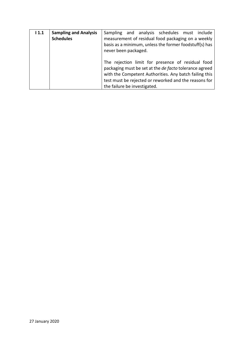| 11.1 | <b>Sampling and Analysis</b><br><b>Schedules</b> | Sampling and analysis schedules must include<br>measurement of residual food packaging on a weekly<br>basis as a minimum, unless the former foodstuff(s) has<br>never been packaged.                                                                           |
|------|--------------------------------------------------|----------------------------------------------------------------------------------------------------------------------------------------------------------------------------------------------------------------------------------------------------------------|
|      |                                                  | The rejection limit for presence of residual food<br>packaging must be set at the de facto tolerance agreed<br>with the Competent Authorities. Any batch failing this<br>test must be rejected or reworked and the reasons for<br>the failure be investigated. |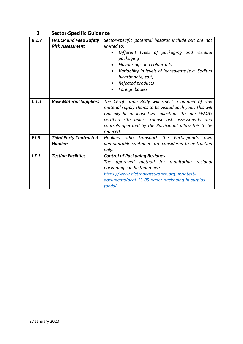# **3 Sector-Specific Guidance**

| <b>B</b> 1.7     | <b>HACCP and Feed Safety</b><br><b>Risk Assessment</b> | Sector-specific potential hazards include but are not<br>limited to:<br>Different types of packaging and residual<br>$\bullet$<br>packaging<br><b>Flavourings and colourants</b><br>$\bullet$<br>Variability in levels of ingredients (e.g. Sodium<br>bicarbonate, salt)<br>Rejected products<br>Foreign bodies |
|------------------|--------------------------------------------------------|-----------------------------------------------------------------------------------------------------------------------------------------------------------------------------------------------------------------------------------------------------------------------------------------------------------------|
| C <sub>1.1</sub> | <b>Raw Material Suppliers</b>                          | The Certification Body will select a number of raw<br>material supply chains to be visited each year. This will<br>typically be at least two collection sites per FEMAS<br>certified site unless robust risk assessments and<br>controls operated by the Participant allow this to be<br>reduced.               |
| E3.3             | <b>Third Party Contracted</b><br><b>Hauliers</b>       | Hauliers who transport the Participant's<br>own<br>demountable containers are considered to be traction<br>only.                                                                                                                                                                                                |
| 17.1             | <b>Testing Facilities</b>                              | <b>Control of Packaging Residues</b><br>The approved method for monitoring residual<br>packaging can be found here:<br>https://www.aictradeassurance.org.uk/latest-<br>documents/acaf-13-05-paper-packaging-in-surplus-<br>foods/                                                                               |